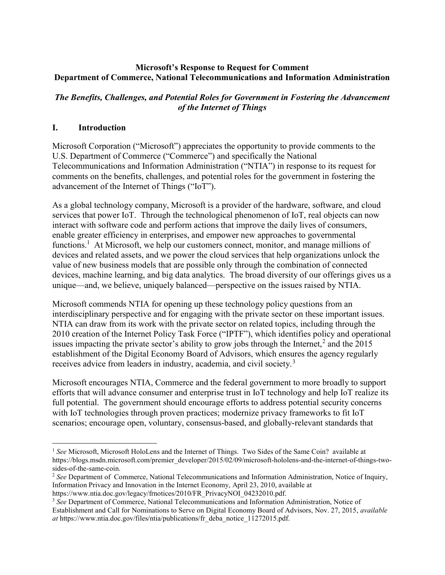# Microsoft's Response to Request for Comment Department of Commerce, National Telecommunications and Information Administration

# The Benefits, Challenges, and Potential Roles for Government in Fostering the Advancement of the Internet of Things

# I. Introduction

 $\overline{a}$ 

Microsoft Corporation ("Microsoft") appreciates the opportunity to provide comments to the U.S. Department of Commerce ("Commerce") and specifically the National Telecommunications and Information Administration ("NTIA") in response to its request for comments on the benefits, challenges, and potential roles for the government in fostering the advancement of the Internet of Things ("IoT").

As a global technology company, Microsoft is a provider of the hardware, software, and cloud services that power IoT. Through the technological phenomenon of IoT, real objects can now interact with software code and perform actions that improve the daily lives of consumers, enable greater efficiency in enterprises, and empower new approaches to governmental functions.<sup>1</sup> At Microsoft, we help our customers connect, monitor, and manage millions of devices and related assets, and we power the cloud services that help organizations unlock the value of new business models that are possible only through the combination of connected devices, machine learning, and big data analytics. The broad diversity of our offerings gives us a unique—and, we believe, uniquely balanced—perspective on the issues raised by NTIA.

Microsoft commends NTIA for opening up these technology policy questions from an interdisciplinary perspective and for engaging with the private sector on these important issues. NTIA can draw from its work with the private sector on related topics, including through the 2010 creation of the Internet Policy Task Force ("IPTF"), which identifies policy and operational issues impacting the private sector's ability to grow jobs through the Internet,<sup>2</sup> and the 2015 establishment of the Digital Economy Board of Advisors, which ensures the agency regularly receives advice from leaders in industry, academia, and civil society.<sup>3</sup>

Microsoft encourages NTIA, Commerce and the federal government to more broadly to support efforts that will advance consumer and enterprise trust in IoT technology and help IoT realize its full potential. The government should encourage efforts to address potential security concerns with IoT technologies through proven practices; modernize privacy frameworks to fit IoT scenarios; encourage open, voluntary, consensus-based, and globally-relevant standards that

<sup>&</sup>lt;sup>1</sup> See Microsoft, Microsoft HoloLens and the Internet of Things. Two Sides of the Same Coin? available at https://blogs.msdn.microsoft.com/premier\_developer/2015/02/09/microsoft-hololens-and-the-internet-of-things-twosides-of-the-same-coin.

<sup>&</sup>lt;sup>2</sup> See Department of Commerce, National Telecommunications and Information Administration, Notice of Inquiry, Information Privacy and Innovation in the Internet Economy, April 23, 2010, available at https://www.ntia.doc.gov/legacy/frnotices/2010/FR\_PrivacyNOI\_04232010.pdf.

<sup>&</sup>lt;sup>3</sup> See Department of Commerce, National Telecommunications and Information Administration, Notice of Establishment and Call for Nominations to Serve on Digital Economy Board of Advisors, Nov. 27, 2015, available at https://www.ntia.doc.gov/files/ntia/publications/fr\_deba\_notice\_11272015.pdf.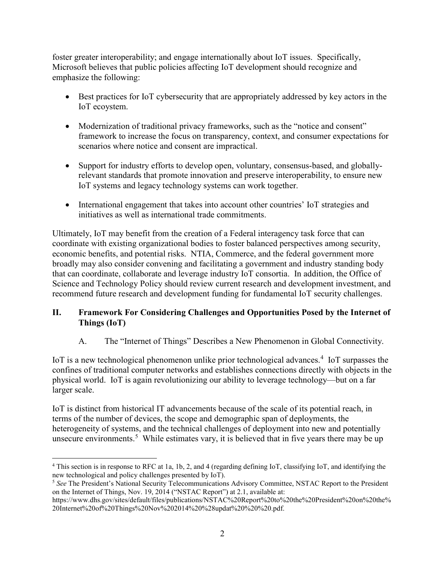foster greater interoperability; and engage internationally about IoT issues. Specifically, Microsoft believes that public policies affecting IoT development should recognize and emphasize the following:

- Best practices for IoT cybersecurity that are appropriately addressed by key actors in the IoT ecoystem.
- Modernization of traditional privacy frameworks, such as the "notice and consent" framework to increase the focus on transparency, context, and consumer expectations for scenarios where notice and consent are impractical.
- Support for industry efforts to develop open, voluntary, consensus-based, and globallyrelevant standards that promote innovation and preserve interoperability, to ensure new IoT systems and legacy technology systems can work together.
- International engagement that takes into account other countries' IoT strategies and initiatives as well as international trade commitments.

Ultimately, IoT may benefit from the creation of a Federal interagency task force that can coordinate with existing organizational bodies to foster balanced perspectives among security, economic benefits, and potential risks. NTIA, Commerce, and the federal government more broadly may also consider convening and facilitating a government and industry standing body that can coordinate, collaborate and leverage industry IoT consortia. In addition, the Office of Science and Technology Policy should review current research and development investment, and recommend future research and development funding for fundamental IoT security challenges.

# II. Framework For Considering Challenges and Opportunities Posed by the Internet of Things (IoT)

A. The "Internet of Things" Describes a New Phenomenon in Global Connectivity.

IoT is a new technological phenomenon unlike prior technological advances.<sup>4</sup> IoT surpasses the confines of traditional computer networks and establishes connections directly with objects in the physical world. IoT is again revolutionizing our ability to leverage technology—but on a far larger scale.

IoT is distinct from historical IT advancements because of the scale of its potential reach, in terms of the number of devices, the scope and demographic span of deployments, the heterogeneity of systems, and the technical challenges of deployment into new and potentially unsecure environments.<sup>5</sup> While estimates vary, it is believed that in five years there may be up

 $\overline{a}$ 4 This section is in response to RFC at 1a, 1b, 2, and 4 (regarding defining IoT, classifying IoT, and identifying the new technological and policy challenges presented by IoT).

<sup>&</sup>lt;sup>5</sup> See The President's National Security Telecommunications Advisory Committee, NSTAC Report to the President on the Internet of Things, Nov. 19, 2014 ("NSTAC Report") at 2.1, available at:

https://www.dhs.gov/sites/default/files/publications/NSTAC%20Report%20to%20the%20President%20on%20the% 20Internet%20of%20Things%20Nov%202014%20%28updat%20%20%20.pdf.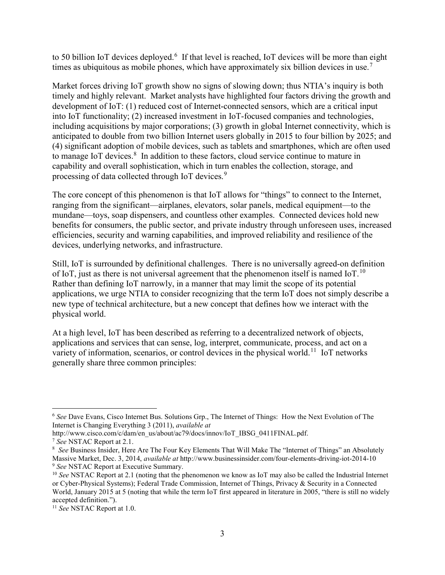to 50 billion IoT devices deployed.<sup>6</sup> If that level is reached, IoT devices will be more than eight times as ubiquitous as mobile phones, which have approximately six billion devices in use.<sup>7</sup>

Market forces driving IoT growth show no signs of slowing down; thus NTIA's inquiry is both timely and highly relevant. Market analysts have highlighted four factors driving the growth and development of IoT: (1) reduced cost of Internet-connected sensors, which are a critical input into IoT functionality; (2) increased investment in IoT-focused companies and technologies, including acquisitions by major corporations; (3) growth in global Internet connectivity, which is anticipated to double from two billion Internet users globally in 2015 to four billion by 2025; and (4) significant adoption of mobile devices, such as tablets and smartphones, which are often used to manage IoT devices.<sup>8</sup> In addition to these factors, cloud service continue to mature in capability and overall sophistication, which in turn enables the collection, storage, and processing of data collected through IoT devices.<sup>9</sup>

The core concept of this phenomenon is that IoT allows for "things" to connect to the Internet, ranging from the significant—airplanes, elevators, solar panels, medical equipment—to the mundane—toys, soap dispensers, and countless other examples. Connected devices hold new benefits for consumers, the public sector, and private industry through unforeseen uses, increased efficiencies, security and warning capabilities, and improved reliability and resilience of the devices, underlying networks, and infrastructure.

Still, IoT is surrounded by definitional challenges. There is no universally agreed-on definition of IoT, just as there is not universal agreement that the phenomenon itself is named IoT.<sup>10</sup> Rather than defining IoT narrowly, in a manner that may limit the scope of its potential applications, we urge NTIA to consider recognizing that the term IoT does not simply describe a new type of technical architecture, but a new concept that defines how we interact with the physical world.

At a high level, IoT has been described as referring to a decentralized network of objects, applications and services that can sense, log, interpret, communicate, process, and act on a variety of information, scenarios, or control devices in the physical world.<sup>11</sup> IoT networks generally share three common principles:

<sup>&</sup>lt;sup>6</sup> See Dave Evans, Cisco Internet Bus. Solutions Grp., The Internet of Things: How the Next Evolution of The Internet is Changing Everything 3 (2011), available at

http://www.cisco.com/c/dam/en\_us/about/ac79/docs/innov/IoT\_IBSG\_0411FINAL.pdf.

<sup>7</sup> See NSTAC Report at 2.1.

<sup>&</sup>lt;sup>8</sup> See Business Insider, Here Are The Four Key Elements That Will Make The "Internet of Things" an Absolutely Massive Market, Dec. 3, 2014, available at http://www.businessinsider.com/four-elements-driving-iot-2014-10 <sup>9</sup> See NSTAC Report at Executive Summary.

 $10$  See NSTAC Report at 2.1 (noting that the phenomenon we know as IoT may also be called the Industrial Internet or Cyber-Physical Systems); Federal Trade Commission, Internet of Things, Privacy & Security in a Connected World, January 2015 at 5 (noting that while the term IoT first appeared in literature in 2005, "there is still no widely accepted definition.").

<sup>&</sup>lt;sup>11</sup> See NSTAC Report at 1.0.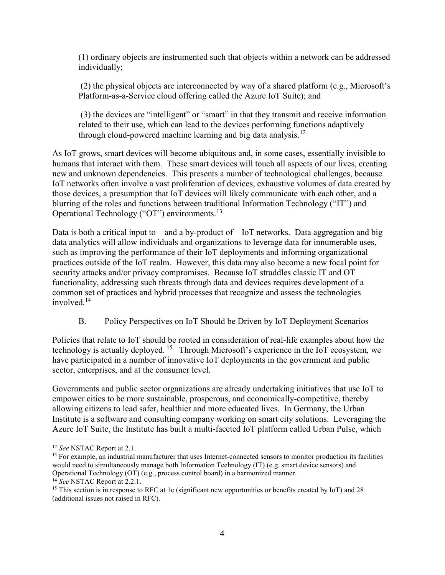(1) ordinary objects are instrumented such that objects within a network can be addressed individually;

(2) the physical objects are interconnected by way of a shared platform (e.g., Microsoft's Platform-as-a-Service cloud offering called the Azure IoT Suite); and

(3) the devices are "intelligent" or "smart" in that they transmit and receive information related to their use, which can lead to the devices performing functions adaptively through cloud-powered machine learning and big data analysis.<sup>12</sup>

As IoT grows, smart devices will become ubiquitous and, in some cases, essentially invisible to humans that interact with them. These smart devices will touch all aspects of our lives, creating new and unknown dependencies. This presents a number of technological challenges, because IoT networks often involve a vast proliferation of devices, exhaustive volumes of data created by those devices, a presumption that IoT devices will likely communicate with each other, and a blurring of the roles and functions between traditional Information Technology ("IT") and Operational Technology ("OT") environments.<sup>13</sup>

Data is both a critical input to—and a by-product of—IoT networks. Data aggregation and big data analytics will allow individuals and organizations to leverage data for innumerable uses, such as improving the performance of their IoT deployments and informing organizational practices outside of the IoT realm. However, this data may also become a new focal point for security attacks and/or privacy compromises. Because IoT straddles classic IT and OT functionality, addressing such threats through data and devices requires development of a common set of practices and hybrid processes that recognize and assess the technologies involved.<sup>14</sup>

B. Policy Perspectives on IoT Should be Driven by IoT Deployment Scenarios

Policies that relate to IoT should be rooted in consideration of real-life examples about how the technology is actually deployed.<sup>15</sup> Through Microsoft's experience in the IoT ecosystem, we have participated in a number of innovative IoT deployments in the government and public sector, enterprises, and at the consumer level.

Governments and public sector organizations are already undertaking initiatives that use IoT to empower cities to be more sustainable, prosperous, and economically-competitive, thereby allowing citizens to lead safer, healthier and more educated lives. In Germany, the Urban Institute is a software and consulting company working on smart city solutions. Leveraging the Azure IoT Suite, the Institute has built a multi-faceted IoT platform called Urban Pulse, which

<sup>&</sup>lt;sup>12</sup> See NSTAC Report at 2.1.

 $<sup>13</sup>$  For example, an industrial manufacturer that uses Internet-connected sensors to monitor production its facilities</sup> would need to simultaneously manage both Information Technology (IT) (e.g. smart device sensors) and Operational Technology (OT) (e.g., process control board) in a harmonized manner.

<sup>&</sup>lt;sup>14</sup> See NSTAC Report at 2.2.1.

<sup>&</sup>lt;sup>15</sup> This section is in response to RFC at 1c (significant new opportunities or benefits created by IoT) and 28 (additional issues not raised in RFC).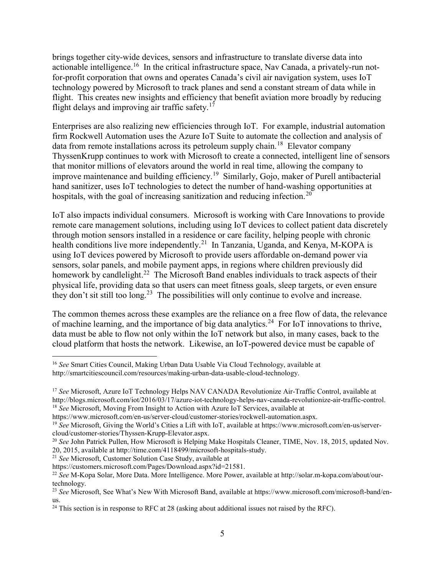brings together city-wide devices, sensors and infrastructure to translate diverse data into actionable intelligence.<sup>16</sup> In the critical infrastructure space, Nav Canada, a privately-run notfor-profit corporation that owns and operates Canada's civil air navigation system, uses IoT technology powered by Microsoft to track planes and send a constant stream of data while in flight. This creates new insights and efficiency that benefit aviation more broadly by reducing flight delays and improving air traffic safety.<sup>17</sup>

Enterprises are also realizing new efficiencies through IoT. For example, industrial automation firm Rockwell Automation uses the Azure IoT Suite to automate the collection and analysis of data from remote installations across its petroleum supply chain.<sup>18</sup> Elevator company ThyssenKrupp continues to work with Microsoft to create a connected, intelligent line of sensors that monitor millions of elevators around the world in real time, allowing the company to improve maintenance and building efficiency.<sup>19</sup> Similarly, Gojo, maker of Purell antibacterial hand sanitizer, uses IoT technologies to detect the number of hand-washing opportunities at hospitals, with the goal of increasing sanitization and reducing infection.<sup>20</sup>

IoT also impacts individual consumers. Microsoft is working with Care Innovations to provide remote care management solutions, including using IoT devices to collect patient data discretely through motion sensors installed in a residence or care facility, helping people with chronic health conditions live more independently.<sup>21</sup> In Tanzania, Uganda, and Kenya, M-KOPA is using IoT devices powered by Microsoft to provide users affordable on-demand power via sensors, solar panels, and mobile payment apps, in regions where children previously did homework by candlelight.<sup>22</sup> The Microsoft Band enables individuals to track aspects of their physical life, providing data so that users can meet fitness goals, sleep targets, or even ensure they don't sit still too long.<sup>23</sup> The possibilities will only continue to evolve and increase.

The common themes across these examples are the reliance on a free flow of data, the relevance of machine learning, and the importance of big data analytics.<sup>24</sup> For IoT innovations to thrive, data must be able to flow not only within the IoT network but also, in many cases, back to the cloud platform that hosts the network. Likewise, an IoT-powered device must be capable of

<sup>21</sup> See Microsoft, Customer Solution Case Study, available at

<sup>&</sup>lt;sup>16</sup> See Smart Cities Council, Making Urban Data Usable Via Cloud Technology, available at http://smartcitiescouncil.com/resources/making-urban-data-usable-cloud-technology.

<sup>&</sup>lt;sup>17</sup> See Microsoft, Azure IoT Technology Helps NAV CANADA Revolutionize Air-Traffic Control, available at http://blogs.microsoft.com/iot/2016/03/17/azure-iot-technology-helps-nav-canada-revolutionize-air-traffic-control. <sup>18</sup> See Microsoft, Moving From Insight to Action with Azure IoT Services, available at

https://www.microsoft.com/en-us/server-cloud/customer-stories/rockwell-automation.aspx.

<sup>&</sup>lt;sup>19</sup> See Microsoft, Giving the World's Cities a Lift with IoT, available at https://www.microsoft.com/en-us/servercloud/customer-stories/Thyssen-Krupp-Elevator.aspx.

<sup>&</sup>lt;sup>20</sup> See John Patrick Pullen, How Microsoft is Helping Make Hospitals Cleaner, TIME, Nov. 18, 2015, updated Nov. 20, 2015, available at http://time.com/4118499/microsoft-hospitals-study.

https://customers.microsoft.com/Pages/Download.aspx?id=21581.

<sup>&</sup>lt;sup>22</sup> See M-Kopa Solar, More Data. More Intelligence. More Power, available at http://solar.m-kopa.com/about/ourtechnology.

<sup>&</sup>lt;sup>23</sup> See Microsoft, See What's New With Microsoft Band, available at https://www.microsoft.com/microsoft-band/enus.

<sup>&</sup>lt;sup>24</sup> This section is in response to RFC at 28 (asking about additional issues not raised by the RFC).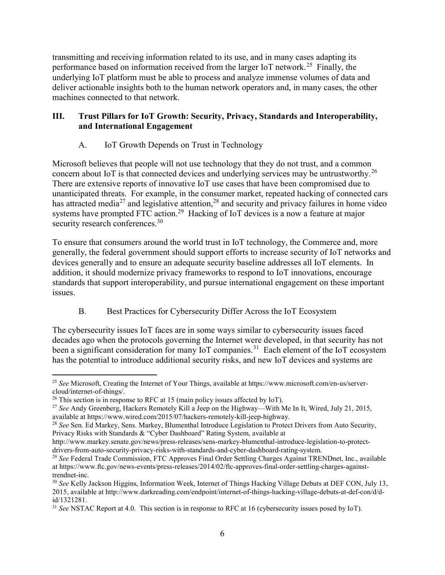transmitting and receiving information related to its use, and in many cases adapting its performance based on information received from the larger IoT network.<sup>25</sup> Finally, the underlying IoT platform must be able to process and analyze immense volumes of data and deliver actionable insights both to the human network operators and, in many cases, the other machines connected to that network.

# III. Trust Pillars for IoT Growth: Security, Privacy, Standards and Interoperability, and International Engagement

# A. IoT Growth Depends on Trust in Technology

Microsoft believes that people will not use technology that they do not trust, and a common concern about IoT is that connected devices and underlying services may be untrustworthy.<sup>26</sup> There are extensive reports of innovative IoT use cases that have been compromised due to unanticipated threats. For example, in the consumer market, repeated hacking of connected cars has attracted media<sup>27</sup> and legislative attention,<sup>28</sup> and security and privacy failures in home video systems have prompted FTC action.<sup>29</sup> Hacking of IoT devices is a now a feature at major security research conferences.<sup>30</sup>

To ensure that consumers around the world trust in IoT technology, the Commerce and, more generally, the federal government should support efforts to increase security of IoT networks and devices generally and to ensure an adequate security baseline addresses all IoT elements. In addition, it should modernize privacy frameworks to respond to IoT innovations, encourage standards that support interoperability, and pursue international engagement on these important issues.

# B. Best Practices for Cybersecurity Differ Across the IoT Ecosystem

The cybersecurity issues IoT faces are in some ways similar to cybersecurity issues faced decades ago when the protocols governing the Internet were developed, in that security has not been a significant consideration for many IoT companies.<sup>31</sup> Each element of the IoT ecosystem has the potential to introduce additional security risks, and new IoT devices and systems are

<sup>&</sup>lt;sup>25</sup> See Microsoft, Creating the Internet of Your Things, available at https://www.microsoft.com/en-us/servercloud/internet-of-things/.

 $26$  This section is in response to RFC at 15 (main policy issues affected by IoT).

<sup>&</sup>lt;sup>27</sup> See Andy Greenberg, Hackers Remotely Kill a Jeep on the Highway—With Me In It, Wired, July 21, 2015, available at https://www.wired.com/2015/07/hackers-remotely-kill-jeep-highway.

<sup>&</sup>lt;sup>28</sup> See Sen. Ed Markey, Sens. Markey, Blumenthal Introduce Legislation to Protect Drivers from Auto Security, Privacy Risks with Standards & "Cyber Dashboard" Rating System, available at

http://www.markey.senate.gov/news/press-releases/sens-markey-blumenthal-introduce-legislation-to-protectdrivers-from-auto-security-privacy-risks-with-standards-and-cyber-dashboard-rating-system.

<sup>&</sup>lt;sup>29</sup> See Federal Trade Commission, FTC Approves Final Order Settling Charges Against TRENDnet, Inc., available at https://www.ftc.gov/news-events/press-releases/2014/02/ftc-approves-final-order-settling-charges-againsttrendnet-inc.

<sup>&</sup>lt;sup>30</sup> See Kelly Jackson Higgins, Information Week, Internet of Things Hacking Village Debuts at DEF CON, July 13, 2015, available at http://www.darkreading.com/endpoint/internet-of-things-hacking-village-debuts-at-def-con/d/did/1321281.

 $31$  See NSTAC Report at 4.0. This section is in response to RFC at 16 (cybersecurity issues posed by IoT).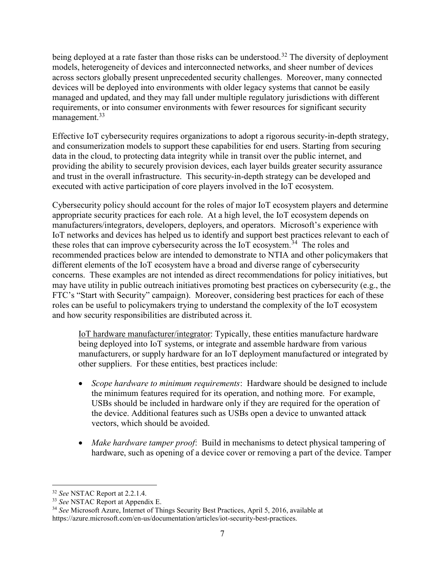being deployed at a rate faster than those risks can be understood.<sup>32</sup> The diversity of deployment models, heterogeneity of devices and interconnected networks, and sheer number of devices across sectors globally present unprecedented security challenges. Moreover, many connected devices will be deployed into environments with older legacy systems that cannot be easily managed and updated, and they may fall under multiple regulatory jurisdictions with different requirements, or into consumer environments with fewer resources for significant security management.<sup>33</sup>

Effective IoT cybersecurity requires organizations to adopt a rigorous security-in-depth strategy, and consumerization models to support these capabilities for end users. Starting from securing data in the cloud, to protecting data integrity while in transit over the public internet, and providing the ability to securely provision devices, each layer builds greater security assurance and trust in the overall infrastructure. This security-in-depth strategy can be developed and executed with active participation of core players involved in the IoT ecosystem.

Cybersecurity policy should account for the roles of major IoT ecosystem players and determine appropriate security practices for each role. At a high level, the IoT ecosystem depends on manufacturers/integrators, developers, deployers, and operators. Microsoft's experience with IoT networks and devices has helped us to identify and support best practices relevant to each of these roles that can improve cybersecurity across the IoT ecosystem.<sup>34</sup> The roles and recommended practices below are intended to demonstrate to NTIA and other policymakers that different elements of the IoT ecosystem have a broad and diverse range of cybersecurity concerns. These examples are not intended as direct recommendations for policy initiatives, but may have utility in public outreach initiatives promoting best practices on cybersecurity (e.g., the FTC's "Start with Security" campaign). Moreover, considering best practices for each of these roles can be useful to policymakers trying to understand the complexity of the IoT ecosystem and how security responsibilities are distributed across it.

IoT hardware manufacturer/integrator: Typically, these entities manufacture hardware being deployed into IoT systems, or integrate and assemble hardware from various manufacturers, or supply hardware for an IoT deployment manufactured or integrated by other suppliers. For these entities, best practices include:

- Scope hardware to minimum requirements: Hardware should be designed to include the minimum features required for its operation, and nothing more. For example, USBs should be included in hardware only if they are required for the operation of the device. Additional features such as USBs open a device to unwanted attack vectors, which should be avoided.
- Make hardware tamper proof: Build in mechanisms to detect physical tampering of hardware, such as opening of a device cover or removing a part of the device. Tamper

 $\overline{a}$ <sup>32</sup> See NSTAC Report at 2.2.1.4.

<sup>&</sup>lt;sup>33</sup> See NSTAC Report at Appendix E.

<sup>&</sup>lt;sup>34</sup> See Microsoft Azure, Internet of Things Security Best Practices, April 5, 2016, available at https://azure.microsoft.com/en-us/documentation/articles/iot-security-best-practices.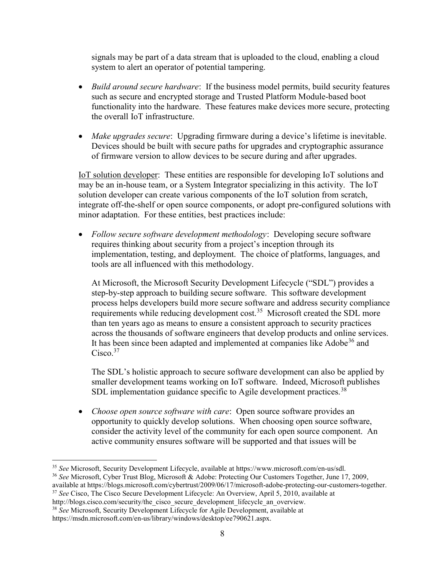signals may be part of a data stream that is uploaded to the cloud, enabling a cloud system to alert an operator of potential tampering.

- Build around secure hardware: If the business model permits, build security features such as secure and encrypted storage and Trusted Platform Module-based boot functionality into the hardware. These features make devices more secure, protecting the overall IoT infrastructure.
- Make upgrades secure: Upgrading firmware during a device's lifetime is inevitable. Devices should be built with secure paths for upgrades and cryptographic assurance of firmware version to allow devices to be secure during and after upgrades.

IoT solution developer: These entities are responsible for developing IoT solutions and may be an in-house team, or a System Integrator specializing in this activity. The IoT solution developer can create various components of the IoT solution from scratch, integrate off-the-shelf or open source components, or adopt pre-configured solutions with minor adaptation. For these entities, best practices include:

• Follow secure software development methodology: Developing secure software requires thinking about security from a project's inception through its implementation, testing, and deployment. The choice of platforms, languages, and tools are all influenced with this methodology.

At Microsoft, the Microsoft Security Development Lifecycle ("SDL") provides a step-by-step approach to building secure software. This software development process helps developers build more secure software and address security compliance requirements while reducing development cost.<sup>35</sup> Microsoft created the SDL more than ten years ago as means to ensure a consistent approach to security practices across the thousands of software engineers that develop products and online services. It has been since been adapted and implemented at companies like Adobe<sup>36</sup> and  $Cisco.<sup>37</sup>$ 

The SDL's holistic approach to secure software development can also be applied by smaller development teams working on IoT software. Indeed, Microsoft publishes SDL implementation guidance specific to Agile development practices.<sup>38</sup>

• Choose open source software with care: Open source software provides an opportunity to quickly develop solutions. When choosing open source software, consider the activity level of the community for each open source component. An active community ensures software will be supported and that issues will be

<sup>36</sup> See Microsoft, Cyber Trust Blog, Microsoft & Adobe: Protecting Our Customers Together, June 17, 2009, available at https://blogs.microsoft.com/cybertrust/2009/06/17/microsoft-adobe-protecting-our-customers-together.

- <sup>37</sup> See Cisco, The Cisco Secure Development Lifecycle: An Overview, April 5, 2010, available at http://blogs.cisco.com/security/the\_cisco\_secure\_development\_lifecycle\_an\_overview.
- <sup>38</sup> See Microsoft, Security Development Lifecycle for Agile Development, available at

https://msdn.microsoft.com/en-us/library/windows/desktop/ee790621.aspx.

 $\overline{a}$ <sup>35</sup> See Microsoft, Security Development Lifecycle, available at https://www.microsoft.com/en-us/sdl.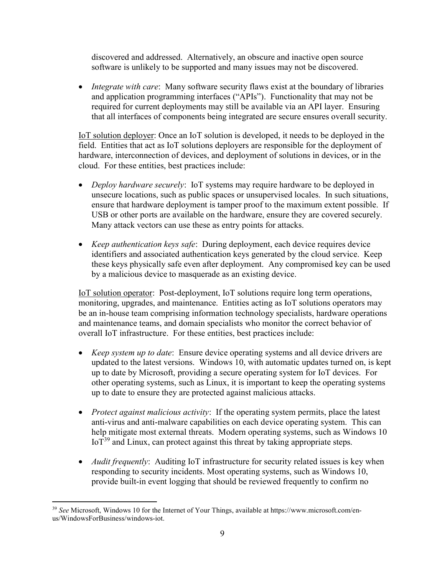discovered and addressed. Alternatively, an obscure and inactive open source software is unlikely to be supported and many issues may not be discovered.

• Integrate with care: Many software security flaws exist at the boundary of libraries and application programming interfaces ("APIs"). Functionality that may not be required for current deployments may still be available via an API layer. Ensuring that all interfaces of components being integrated are secure ensures overall security.

IoT solution deployer: Once an IoT solution is developed, it needs to be deployed in the field. Entities that act as IoT solutions deployers are responsible for the deployment of hardware, interconnection of devices, and deployment of solutions in devices, or in the cloud. For these entities, best practices include:

- Deploy hardware securely: IoT systems may require hardware to be deployed in unsecure locations, such as public spaces or unsupervised locales. In such situations, ensure that hardware deployment is tamper proof to the maximum extent possible. If USB or other ports are available on the hardware, ensure they are covered securely. Many attack vectors can use these as entry points for attacks.
- *Keep authentication keys safe*: During deployment, each device requires device identifiers and associated authentication keys generated by the cloud service. Keep these keys physically safe even after deployment. Any compromised key can be used by a malicious device to masquerade as an existing device.

IoT solution operator: Post-deployment, IoT solutions require long term operations, monitoring, upgrades, and maintenance. Entities acting as IoT solutions operators may be an in-house team comprising information technology specialists, hardware operations and maintenance teams, and domain specialists who monitor the correct behavior of overall IoT infrastructure. For these entities, best practices include:

- *Keep system up to date*: Ensure device operating systems and all device drivers are updated to the latest versions. Windows 10, with automatic updates turned on, is kept up to date by Microsoft, providing a secure operating system for IoT devices. For other operating systems, such as Linux, it is important to keep the operating systems up to date to ensure they are protected against malicious attacks.
- *Protect against malicious activity*: If the operating system permits, place the latest anti-virus and anti-malware capabilities on each device operating system. This can help mitigate most external threats. Modern operating systems, such as Windows 10  $IoT<sup>39</sup>$  and Linux, can protect against this threat by taking appropriate steps.
- *Audit frequently*: Auditing IoT infrastructure for security related issues is key when responding to security incidents. Most operating systems, such as Windows 10, provide built-in event logging that should be reviewed frequently to confirm no

 $39$  See Microsoft, Windows 10 for the Internet of Your Things, available at https://www.microsoft.com/enus/WindowsForBusiness/windows-iot.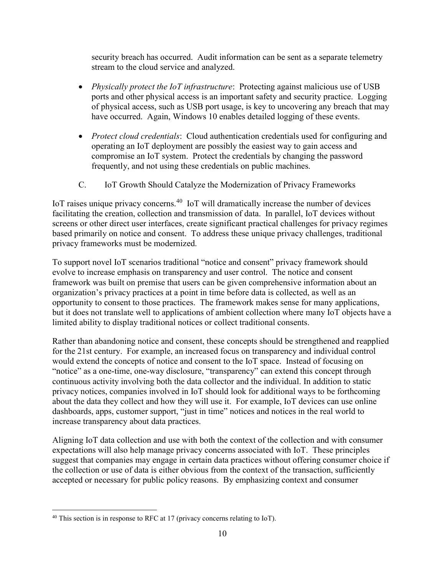security breach has occurred. Audit information can be sent as a separate telemetry stream to the cloud service and analyzed.

- Physically protect the IoT infrastructure: Protecting against malicious use of USB ports and other physical access is an important safety and security practice. Logging of physical access, such as USB port usage, is key to uncovering any breach that may have occurred. Again, Windows 10 enables detailed logging of these events.
- *Protect cloud credentials:* Cloud authentication credentials used for configuring and operating an IoT deployment are possibly the easiest way to gain access and compromise an IoT system. Protect the credentials by changing the password frequently, and not using these credentials on public machines.
- C. IoT Growth Should Catalyze the Modernization of Privacy Frameworks

IoT raises unique privacy concerns.<sup>40</sup> IoT will dramatically increase the number of devices facilitating the creation, collection and transmission of data. In parallel, IoT devices without screens or other direct user interfaces, create significant practical challenges for privacy regimes based primarily on notice and consent. To address these unique privacy challenges, traditional privacy frameworks must be modernized.

To support novel IoT scenarios traditional "notice and consent" privacy framework should evolve to increase emphasis on transparency and user control. The notice and consent framework was built on premise that users can be given comprehensive information about an organization's privacy practices at a point in time before data is collected, as well as an opportunity to consent to those practices. The framework makes sense for many applications, but it does not translate well to applications of ambient collection where many IoT objects have a limited ability to display traditional notices or collect traditional consents.

Rather than abandoning notice and consent, these concepts should be strengthened and reapplied for the 21st century. For example, an increased focus on transparency and individual control would extend the concepts of notice and consent to the IoT space. Instead of focusing on "notice" as a one-time, one-way disclosure, "transparency" can extend this concept through continuous activity involving both the data collector and the individual. In addition to static privacy notices, companies involved in IoT should look for additional ways to be forthcoming about the data they collect and how they will use it. For example, IoT devices can use online dashboards, apps, customer support, "just in time" notices and notices in the real world to increase transparency about data practices.

Aligning IoT data collection and use with both the context of the collection and with consumer expectations will also help manage privacy concerns associated with IoT. These principles suggest that companies may engage in certain data practices without offering consumer choice if the collection or use of data is either obvious from the context of the transaction, sufficiently accepted or necessary for public policy reasons. By emphasizing context and consumer

 $\overline{a}$  $40$  This section is in response to RFC at 17 (privacy concerns relating to IoT).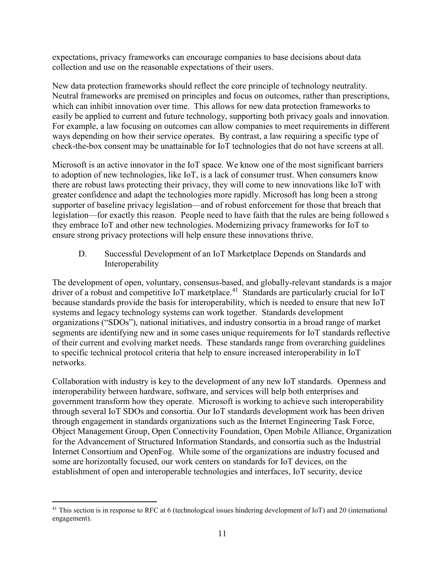expectations, privacy frameworks can encourage companies to base decisions about data collection and use on the reasonable expectations of their users.

New data protection frameworks should reflect the core principle of technology neutrality. Neutral frameworks are premised on principles and focus on outcomes, rather than prescriptions, which can inhibit innovation over time. This allows for new data protection frameworks to easily be applied to current and future technology, supporting both privacy goals and innovation. For example, a law focusing on outcomes can allow companies to meet requirements in different ways depending on how their service operates. By contrast, a law requiring a specific type of check-the-box consent may be unattainable for IoT technologies that do not have screens at all.

Microsoft is an active innovator in the IoT space. We know one of the most significant barriers to adoption of new technologies, like IoT, is a lack of consumer trust. When consumers know there are robust laws protecting their privacy, they will come to new innovations like IoT with greater confidence and adapt the technologies more rapidly. Microsoft has long been a strong supporter of baseline privacy legislation—and of robust enforcement for those that breach that legislation—for exactly this reason. People need to have faith that the rules are being followed s they embrace IoT and other new technologies. Modernizing privacy frameworks for IoT to ensure strong privacy protections will help ensure these innovations thrive.

D. Successful Development of an IoT Marketplace Depends on Standards and Interoperability

The development of open, voluntary, consensus-based, and globally-relevant standards is a major driver of a robust and competitive IoT marketplace.<sup>41</sup> Standards are particularly crucial for IoT because standards provide the basis for interoperability, which is needed to ensure that new IoT systems and legacy technology systems can work together. Standards development organizations ("SDOs"), national initiatives, and industry consortia in a broad range of market segments are identifying new and in some cases unique requirements for IoT standards reflective of their current and evolving market needs. These standards range from overarching guidelines to specific technical protocol criteria that help to ensure increased interoperability in IoT networks.

Collaboration with industry is key to the development of any new IoT standards. Openness and interoperability between hardware, software, and services will help both enterprises and government transform how they operate. Microsoft is working to achieve such interoperability through several IoT SDOs and consortia. Our IoT standards development work has been driven through engagement in standards organizations such as the Internet Engineering Task Force, Object Management Group, Open Connectivity Foundation, Open Mobile Alliance, Organization for the Advancement of Structured Information Standards, and consortia such as the Industrial Internet Consortium and OpenFog. While some of the organizations are industry focused and some are horizontally focused, our work centers on standards for IoT devices, on the establishment of open and interoperable technologies and interfaces, IoT security, device

 $\overline{a}$ <sup>41</sup> This section is in response to RFC at 6 (technological issues hindering development of IoT) and 20 (international engagement).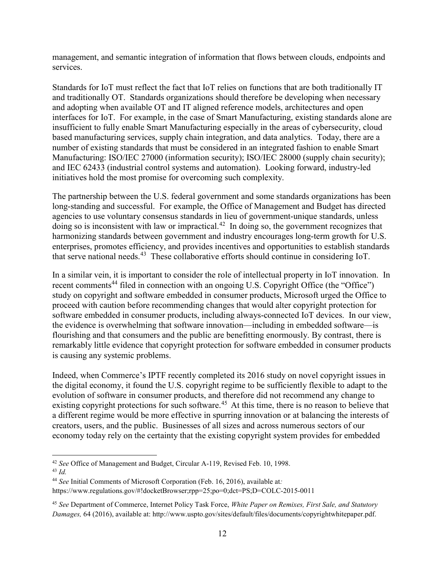management, and semantic integration of information that flows between clouds, endpoints and services.

Standards for IoT must reflect the fact that IoT relies on functions that are both traditionally IT and traditionally OT. Standards organizations should therefore be developing when necessary and adopting when available OT and IT aligned reference models, architectures and open interfaces for IoT. For example, in the case of Smart Manufacturing, existing standards alone are insufficient to fully enable Smart Manufacturing especially in the areas of cybersecurity, cloud based manufacturing services, supply chain integration, and data analytics. Today, there are a number of existing standards that must be considered in an integrated fashion to enable Smart Manufacturing: ISO/IEC 27000 (information security); ISO/IEC 28000 (supply chain security); and IEC 62433 (industrial control systems and automation). Looking forward, industry-led initiatives hold the most promise for overcoming such complexity.

The partnership between the U.S. federal government and some standards organizations has been long-standing and successful. For example, the Office of Management and Budget has directed agencies to use voluntary consensus standards in lieu of government-unique standards, unless doing so is inconsistent with law or impractical.<sup>42</sup> In doing so, the government recognizes that harmonizing standards between government and industry encourages long-term growth for U.S. enterprises, promotes efficiency, and provides incentives and opportunities to establish standards that serve national needs.<sup>43</sup> These collaborative efforts should continue in considering IoT.

In a similar vein, it is important to consider the role of intellectual property in IoT innovation. In recent comments<sup>44</sup> filed in connection with an ongoing U.S. Copyright Office (the "Office") study on copyright and software embedded in consumer products, Microsoft urged the Office to proceed with caution before recommending changes that would alter copyright protection for software embedded in consumer products, including always-connected IoT devices. In our view, the evidence is overwhelming that software innovation—including in embedded software—is flourishing and that consumers and the public are benefitting enormously. By contrast, there is remarkably little evidence that copyright protection for software embedded in consumer products is causing any systemic problems.

Indeed, when Commerce's IPTF recently completed its 2016 study on novel copyright issues in the digital economy, it found the U.S. copyright regime to be sufficiently flexible to adapt to the evolution of software in consumer products, and therefore did not recommend any change to existing copyright protections for such software.<sup>45</sup> At this time, there is no reason to believe that a different regime would be more effective in spurring innovation or at balancing the interests of creators, users, and the public. Businesses of all sizes and across numerous sectors of our economy today rely on the certainty that the existing copyright system provides for embedded

 $\overline{a}$ <sup>42</sup> See Office of Management and Budget, Circular A-119, Revised Feb. 10, 1998.  $43$  Id.

<sup>&</sup>lt;sup>44</sup> See Initial Comments of Microsoft Corporation (Feb. 16, 2016), available at:

https://www.regulations.gov/#!docketBrowser;rpp=25;po=0;dct=PS;D=COLC-2015-0011

<sup>&</sup>lt;sup>45</sup> See Department of Commerce, Internet Policy Task Force, White Paper on Remixes, First Sale, and Statutory Damages, 64 (2016), available at: http://www.uspto.gov/sites/default/files/documents/copyrightwhitepaper.pdf.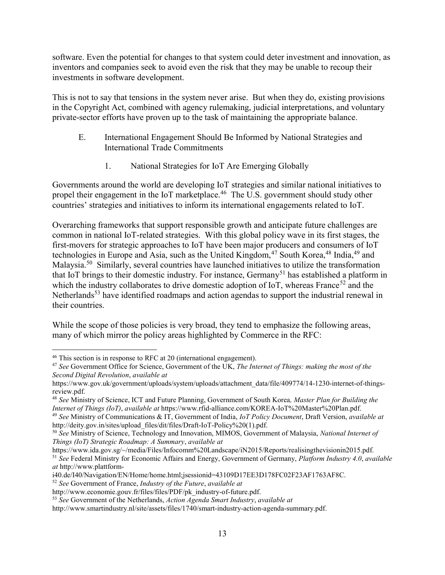software. Even the potential for changes to that system could deter investment and innovation, as inventors and companies seek to avoid even the risk that they may be unable to recoup their investments in software development.

This is not to say that tensions in the system never arise. But when they do, existing provisions in the Copyright Act, combined with agency rulemaking, judicial interpretations, and voluntary private-sector efforts have proven up to the task of maintaining the appropriate balance.

- E. International Engagement Should Be Informed by National Strategies and International Trade Commitments
	- 1. National Strategies for IoT Are Emerging Globally

Governments around the world are developing IoT strategies and similar national initiatives to propel their engagement in the IoT marketplace.<sup>46</sup> The U.S. government should study other countries' strategies and initiatives to inform its international engagements related to IoT.

Overarching frameworks that support responsible growth and anticipate future challenges are common in national IoT-related strategies. With this global policy wave in its first stages, the first-movers for strategic approaches to IoT have been major producers and consumers of IoT technologies in Europe and Asia, such as the United Kingdom,<sup>47</sup> South Korea,<sup>48</sup> India,<sup>49</sup> and Malaysia.<sup>50</sup> Similarly, several countries have launched initiatives to utilize the transformation that IoT brings to their domestic industry. For instance, Germany<sup>51</sup> has established a platform in which the industry collaborates to drive domestic adoption of IoT, whereas France<sup>52</sup> and the Netherlands<sup>53</sup> have identified roadmaps and action agendas to support the industrial renewal in their countries.

While the scope of those policies is very broad, they tend to emphasize the following areas, many of which mirror the policy areas highlighted by Commerce in the RFC:

<sup>46</sup> This section is in response to RFC at 20 (international engagement).

<sup>&</sup>lt;sup>47</sup> See Government Office for Science, Government of the UK, The Internet of Things: making the most of the Second Digital Revolution, available at

https://www.gov.uk/government/uploads/system/uploads/attachment\_data/file/409774/14-1230-internet-of-thingsreview.pdf.

<sup>&</sup>lt;sup>48</sup> See Ministry of Science, ICT and Future Planning, Government of South Korea, Master Plan for Building the Internet of Things (IoT), available at https://www.rfid-alliance.com/KOREA-IoT%20Master%20Plan.pdf.

<sup>&</sup>lt;sup>49</sup> See Ministry of Communications & IT, Government of India, IoT Policy Document, Draft Version, available at http://deity.gov.in/sites/upload\_files/dit/files/Draft-IoT-Policy%20(1).pdf.

<sup>&</sup>lt;sup>50</sup> See Ministry of Science, Technology and Innovation, MIMOS, Government of Malaysia, *National Internet of* Things (IoT) Strategic Roadmap: A Summary, available at

https://www.ida.gov.sg/~/media/Files/Infocomm%20Landscape/iN2015/Reports/realisingthevisionin2015.pdf.  $<sup>51</sup>$  See Federal Ministry for Economic Affairs and Energy, Government of Germany, Platform Industry 4.0, available</sup> at http://www.plattform-

i40.de/I40/Navigation/EN/Home/home.html;jsessionid=43109D17EE3D178FC02F23AF1763AF8C.

 $52$  See Government of France, Industry of the Future, available at

http://www.economie.gouv.fr/files/files/PDF/pk\_industry-of-future.pdf.

 $53$  See Government of the Netherlands, Action Agenda Smart Industry, available at

http://www.smartindustry.nl/site/assets/files/1740/smart-industry-action-agenda-summary.pdf.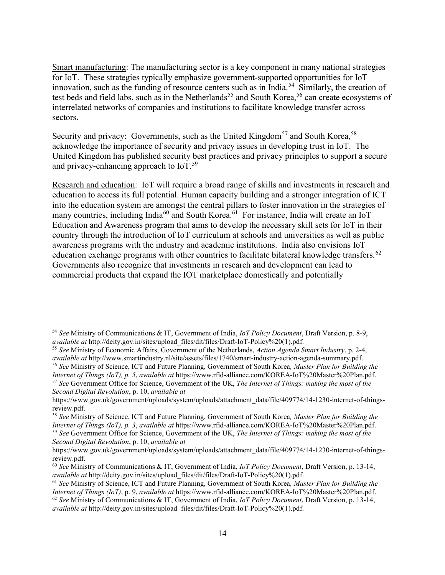Smart manufacturing: The manufacturing sector is a key component in many national strategies for IoT. These strategies typically emphasize government-supported opportunities for IoT innovation, such as the funding of resource centers such as in India.<sup>54</sup> Similarly, the creation of test beds and field labs, such as in the Netherlands<sup>55</sup> and South Korea,<sup>56</sup> can create ecosystems of interrelated networks of companies and institutions to facilitate knowledge transfer across sectors.

Security and privacy: Governments, such as the United Kingdom<sup>57</sup> and South Korea,<sup>58</sup> acknowledge the importance of security and privacy issues in developing trust in IoT. The United Kingdom has published security best practices and privacy principles to support a secure and privacy-enhancing approach to  $I_0$ .<sup>59</sup>

Research and education: IoT will require a broad range of skills and investments in research and education to access its full potential. Human capacity building and a stronger integration of ICT into the education system are amongst the central pillars to foster innovation in the strategies of many countries, including India<sup>60</sup> and South Korea.<sup>61</sup> For instance, India will create an IoT Education and Awareness program that aims to develop the necessary skill sets for IoT in their country through the introduction of IoT curriculum at schools and universities as well as public awareness programs with the industry and academic institutions. India also envisions IoT education exchange programs with other countries to facilitate bilateral knowledge transfers.<sup>62</sup> Governments also recognize that investments in research and development can lead to commercial products that expand the IOT marketplace domestically and potentially

 $54$  See Ministry of Communications & IT, Government of India, IoT Policy Document, Draft Version, p. 8-9, available at http://deity.gov.in/sites/upload\_files/dit/files/Draft-IoT-Policy%20(1).pdf.

<sup>&</sup>lt;sup>55</sup> See Ministry of Economic Affairs, Government of the Netherlands, Action Agenda Smart Industry, p. 2-4, available at http://www.smartindustry.nl/site/assets/files/1740/smart-industry-action-agenda-summary.pdf.

<sup>&</sup>lt;sup>56</sup> See Ministry of Science, ICT and Future Planning, Government of South Korea, Master Plan for Building the Internet of Things (IoT), p. 5, available at https://www.rfid-alliance.com/KOREA-IoT%20Master%20Plan.pdf. <sup>57</sup> See Government Office for Science, Government of the UK, The Internet of Things: making the most of the Second Digital Revolution, p. 10, available at

https://www.gov.uk/government/uploads/system/uploads/attachment\_data/file/409774/14-1230-internet-of-thingsreview.pdf.

<sup>&</sup>lt;sup>58</sup> See Ministry of Science, ICT and Future Planning, Government of South Korea, Master Plan for Building the Internet of Things (IoT), p. 3, available at https://www.rfid-alliance.com/KOREA-IoT%20Master%20Plan.pdf.  $59$  See Government Office for Science, Government of the UK, The Internet of Things: making the most of the Second Digital Revolution, p. 10, available at

https://www.gov.uk/government/uploads/system/uploads/attachment\_data/file/409774/14-1230-internet-of-thingsreview.pdf.

<sup>&</sup>lt;sup>60</sup> See Ministry of Communications & IT, Government of India, IoT Policy Document, Draft Version, p. 13-14, available at http://deity.gov.in/sites/upload\_files/dit/files/Draft-IoT-Policy%20(1).pdf.

<sup>&</sup>lt;sup>61</sup> See Ministry of Science, ICT and Future Planning, Government of South Korea, Master Plan for Building the Internet of Things (IoT), p. 9, available at https://www.rfid-alliance.com/KOREA-IoT%20Master%20Plan.pdf. <sup>62</sup> See Ministry of Communications & IT, Government of India, IoT Policy Document, Draft Version, p. 13-14, available at http://deity.gov.in/sites/upload\_files/dit/files/Draft-IoT-Policy%20(1).pdf.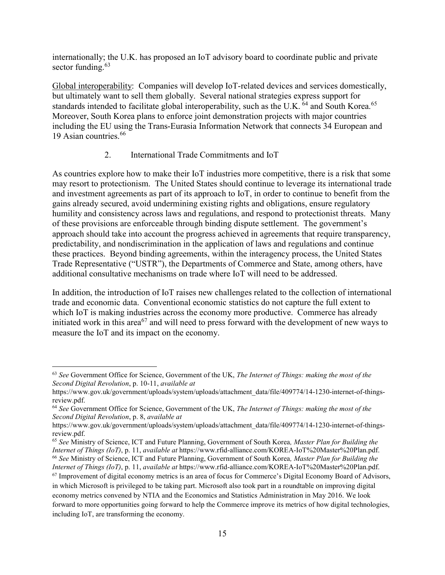internationally; the U.K. has proposed an IoT advisory board to coordinate public and private sector funding. $63$ 

Global interoperability: Companies will develop IoT-related devices and services domestically, but ultimately want to sell them globally. Several national strategies express support for standards intended to facilitate global interoperability, such as the U.K.  $^{64}$  and South Korea.<sup>65</sup> Moreover, South Korea plans to enforce joint demonstration projects with major countries including the EU using the Trans-Eurasia Information Network that connects 34 European and 19 Asian countries.<sup>66</sup>

## 2. International Trade Commitments and IoT

As countries explore how to make their IoT industries more competitive, there is a risk that some may resort to protectionism. The United States should continue to leverage its international trade and investment agreements as part of its approach to IoT, in order to continue to benefit from the gains already secured, avoid undermining existing rights and obligations, ensure regulatory humility and consistency across laws and regulations, and respond to protectionist threats. Many of these provisions are enforceable through binding dispute settlement. The government's approach should take into account the progress achieved in agreements that require transparency, predictability, and nondiscrimination in the application of laws and regulations and continue these practices. Beyond binding agreements, within the interagency process, the United States Trade Representative ("USTR"), the Departments of Commerce and State, among others, have additional consultative mechanisms on trade where IoT will need to be addressed.

In addition, the introduction of IoT raises new challenges related to the collection of international trade and economic data. Conventional economic statistics do not capture the full extent to which IoT is making industries across the economy more productive. Commerce has already initiated work in this area<sup>67</sup> and will need to press forward with the development of new ways to measure the IoT and its impact on the economy.

 $63$  See Government Office for Science, Government of the UK, The Internet of Things: making the most of the Second Digital Revolution, p. 10-11, available at

https://www.gov.uk/government/uploads/system/uploads/attachment\_data/file/409774/14-1230-internet-of-thingsreview.pdf.

 $64$  See Government Office for Science, Government of the UK, The Internet of Things: making the most of the Second Digital Revolution, p. 8, available at

https://www.gov.uk/government/uploads/system/uploads/attachment\_data/file/409774/14-1230-internet-of-thingsreview.pdf.

<sup>&</sup>lt;sup>65</sup> See Ministry of Science, ICT and Future Planning, Government of South Korea, *Master Plan for Building the* Internet of Things (IoT), p. 11, available at https://www.rfid-alliance.com/KOREA-IoT%20Master%20Plan.pdf. <sup>66</sup> See Ministry of Science, ICT and Future Planning, Government of South Korea, Master Plan for Building the Internet of Things (IoT), p. 11, available at https://www.rfid-alliance.com/KOREA-IoT%20Master%20Plan.pdf.

 $67$  Improvement of digital economy metrics is an area of focus for Commerce's Digital Economy Board of Advisors, in which Microsoft is privileged to be taking part. Microsoft also took part in a roundtable on improving digital economy metrics convened by NTIA and the Economics and Statistics Administration in May 2016. We look forward to more opportunities going forward to help the Commerce improve its metrics of how digital technologies, including IoT, are transforming the economy.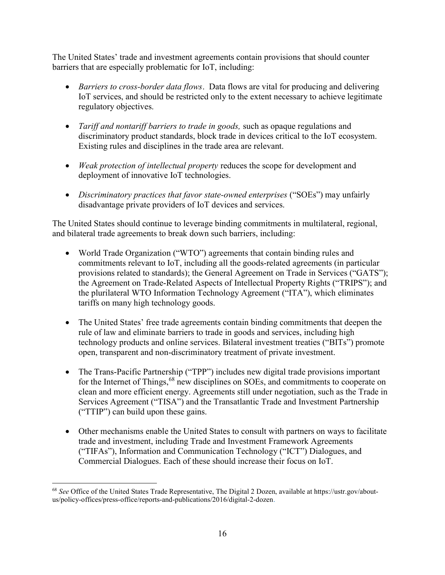The United States' trade and investment agreements contain provisions that should counter barriers that are especially problematic for IoT, including:

- Barriers to cross-border data flows. Data flows are vital for producing and delivering IoT services, and should be restricted only to the extent necessary to achieve legitimate regulatory objectives.
- Tariff and nontariff barriers to trade in goods, such as opaque regulations and discriminatory product standards, block trade in devices critical to the IoT ecosystem. Existing rules and disciplines in the trade area are relevant.
- Weak protection of intellectual property reduces the scope for development and deployment of innovative IoT technologies.
- Discriminatory practices that favor state-owned enterprises ("SOEs") may unfairly disadvantage private providers of IoT devices and services.

The United States should continue to leverage binding commitments in multilateral, regional, and bilateral trade agreements to break down such barriers, including:

- World Trade Organization ("WTO") agreements that contain binding rules and commitments relevant to IoT, including all the goods-related agreements (in particular provisions related to standards); the General Agreement on Trade in Services ("GATS"); the Agreement on Trade-Related Aspects of Intellectual Property Rights ("TRIPS"); and the plurilateral WTO Information Technology Agreement ("ITA"), which eliminates tariffs on many high technology goods.
- The United States' free trade agreements contain binding commitments that deepen the rule of law and eliminate barriers to trade in goods and services, including high technology products and online services. Bilateral investment treaties ("BITs") promote open, transparent and non-discriminatory treatment of private investment.
- The Trans-Pacific Partnership ("TPP") includes new digital trade provisions important for the Internet of Things, <sup>68</sup> new disciplines on SOEs, and commitments to cooperate on clean and more efficient energy. Agreements still under negotiation, such as the Trade in Services Agreement ("TISA") and the Transatlantic Trade and Investment Partnership ("TTIP") can build upon these gains.
- Other mechanisms enable the United States to consult with partners on ways to facilitate trade and investment, including Trade and Investment Framework Agreements ("TIFAs"), Information and Communication Technology ("ICT") Dialogues, and Commercial Dialogues. Each of these should increase their focus on IoT.

<sup>&</sup>lt;sup>68</sup> See Office of the United States Trade Representative, The Digital 2 Dozen, available at https://ustr.gov/aboutus/policy-offices/press-office/reports-and-publications/2016/digital-2-dozen.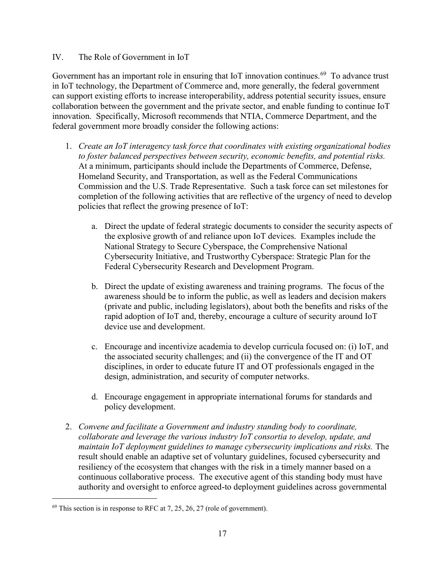#### IV. The Role of Government in IoT

Government has an important role in ensuring that IoT innovation continues.<sup>69</sup> To advance trust in IoT technology, the Department of Commerce and, more generally, the federal government can support existing efforts to increase interoperability, address potential security issues, ensure collaboration between the government and the private sector, and enable funding to continue IoT innovation. Specifically, Microsoft recommends that NTIA, Commerce Department, and the federal government more broadly consider the following actions:

- 1. Create an IoT interagency task force that coordinates with existing organizational bodies to foster balanced perspectives between security, economic benefits, and potential risks. At a minimum, participants should include the Departments of Commerce, Defense, Homeland Security, and Transportation, as well as the Federal Communications Commission and the U.S. Trade Representative. Such a task force can set milestones for completion of the following activities that are reflective of the urgency of need to develop policies that reflect the growing presence of IoT:
	- a. Direct the update of federal strategic documents to consider the security aspects of the explosive growth of and reliance upon IoT devices. Examples include the National Strategy to Secure Cyberspace, the Comprehensive National Cybersecurity Initiative, and Trustworthy Cyberspace: Strategic Plan for the Federal Cybersecurity Research and Development Program.
	- b. Direct the update of existing awareness and training programs. The focus of the awareness should be to inform the public, as well as leaders and decision makers (private and public, including legislators), about both the benefits and risks of the rapid adoption of IoT and, thereby, encourage a culture of security around IoT device use and development.
	- c. Encourage and incentivize academia to develop curricula focused on: (i) IoT, and the associated security challenges; and (ii) the convergence of the IT and OT disciplines, in order to educate future IT and OT professionals engaged in the design, administration, and security of computer networks.
	- d. Encourage engagement in appropriate international forums for standards and policy development.
- 2. Convene and facilitate a Government and industry standing body to coordinate, collaborate and leverage the various industry IoT consortia to develop, update, and maintain IoT deployment guidelines to manage cybersecurity implications and risks. The result should enable an adaptive set of voluntary guidelines, focused cybersecurity and resiliency of the ecosystem that changes with the risk in a timely manner based on a continuous collaborative process. The executive agent of this standing body must have authority and oversight to enforce agreed-to deployment guidelines across governmental

 $^{69}$  This section is in response to RFC at 7, 25, 26, 27 (role of government).